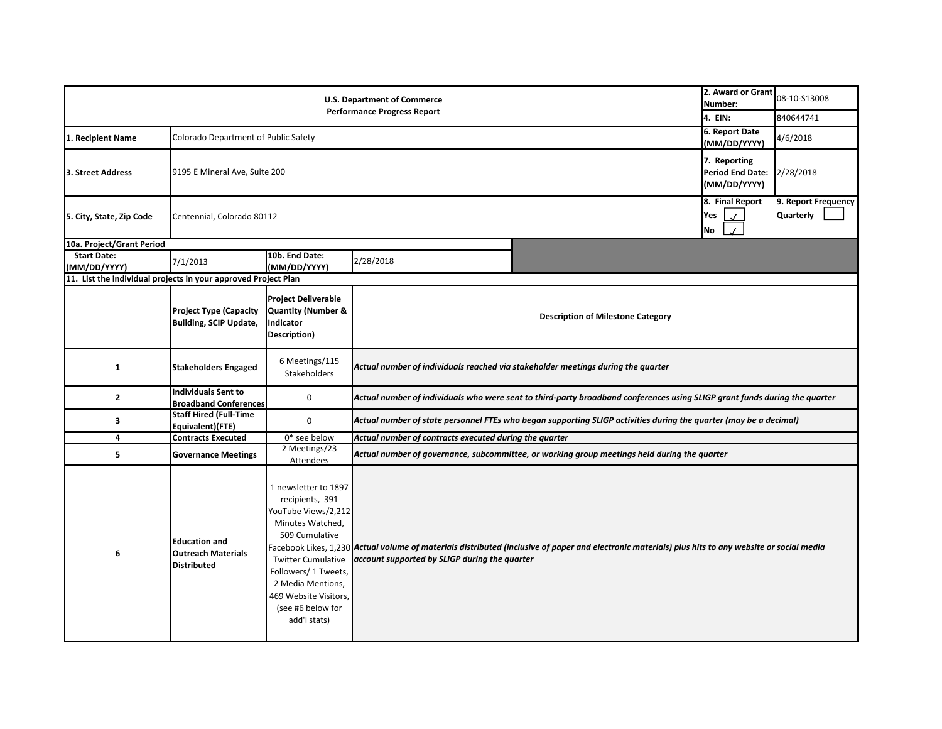|                                                                | 2. Award or Grant<br>Number:                                            | 08-10-S13008                                                                                                                                                                                                                                 |                                               |                                                                                                                                                             |                                                               |                                  |  |
|----------------------------------------------------------------|-------------------------------------------------------------------------|----------------------------------------------------------------------------------------------------------------------------------------------------------------------------------------------------------------------------------------------|-----------------------------------------------|-------------------------------------------------------------------------------------------------------------------------------------------------------------|---------------------------------------------------------------|----------------------------------|--|
|                                                                | 4. EIN:                                                                 | 840644741                                                                                                                                                                                                                                    |                                               |                                                                                                                                                             |                                                               |                                  |  |
| 1. Recipient Name                                              | Colorado Department of Public Safety                                    | 6. Report Date<br>(MM/DD/YYYY)                                                                                                                                                                                                               | 4/6/2018                                      |                                                                                                                                                             |                                                               |                                  |  |
| 3. Street Address                                              | 9195 E Mineral Ave, Suite 200                                           | 7. Reporting<br><b>Period End Date:</b><br>(MM/DD/YYYY)                                                                                                                                                                                      | 2/28/2018                                     |                                                                                                                                                             |                                                               |                                  |  |
| 5. City, State, Zip Code                                       | Centennial, Colorado 80112                                              |                                                                                                                                                                                                                                              |                                               |                                                                                                                                                             | 8. Final Report<br>Yes<br>$\mathcal{L}$<br>$\checkmark$<br>No | 9. Report Frequency<br>Quarterly |  |
| 10a. Project/Grant Period                                      |                                                                         |                                                                                                                                                                                                                                              |                                               |                                                                                                                                                             |                                                               |                                  |  |
| <b>Start Date:</b><br>(MM/DD/YYYY)                             | 7/1/2013                                                                | 10b. End Date:<br>(MM/DD/YYYY)                                                                                                                                                                                                               | 2/28/2018                                     |                                                                                                                                                             |                                                               |                                  |  |
| 11. List the individual projects in your approved Project Plan |                                                                         |                                                                                                                                                                                                                                              |                                               |                                                                                                                                                             |                                                               |                                  |  |
|                                                                | <b>Project Type (Capacity</b><br><b>Building, SCIP Update,</b>          | <b>Project Deliverable</b><br>Quantity (Number &<br>Indicator<br>Description)                                                                                                                                                                |                                               | <b>Description of Milestone Category</b>                                                                                                                    |                                                               |                                  |  |
| $\mathbf{1}$                                                   | <b>Stakeholders Engaged</b>                                             | 6 Meetings/115<br>Actual number of individuals reached via stakeholder meetings during the quarter<br>Stakeholders                                                                                                                           |                                               |                                                                                                                                                             |                                                               |                                  |  |
| $\mathbf{2}$                                                   | Individuals Sent to<br><b>Broadband Conferences</b>                     | Actual number of individuals who were sent to third-party broadband conferences using SLIGP grant funds during the quarter                                                                                                                   |                                               |                                                                                                                                                             |                                                               |                                  |  |
| 3                                                              | <b>Staff Hired (Full-Time</b><br>Equivalent)(FTE)                       | $\mathbf 0$                                                                                                                                                                                                                                  |                                               | Actual number of state personnel FTEs who began supporting SLIGP activities during the quarter (may be a decimal)                                           |                                                               |                                  |  |
| 4                                                              | <b>Contracts Executed</b>                                               | $0*$ see below<br>Actual number of contracts executed during the quarter                                                                                                                                                                     |                                               |                                                                                                                                                             |                                                               |                                  |  |
| 5                                                              | <b>Governance Meetings</b>                                              | 2 Meetings/23<br>Attendees                                                                                                                                                                                                                   |                                               | Actual number of governance, subcommittee, or working group meetings held during the quarter                                                                |                                                               |                                  |  |
| 6                                                              | <b>Education and</b><br><b>Outreach Materials</b><br><b>Distributed</b> | 1 newsletter to 1897<br>recipients, 391<br>YouTube Views/2,212<br>Minutes Watched,<br>509 Cumulative<br><b>Twitter Cumulative</b><br>Followers/ 1 Tweets,<br>2 Media Mentions,<br>469 Website Visitors,<br>(see #6 below for<br>add'l stats) | account supported by SLIGP during the quarter | Facebook Likes, 1,230 <b> Actual volume of materials distributed (inclusive of paper and electronic materials) plus hits to any website or social media</b> |                                                               |                                  |  |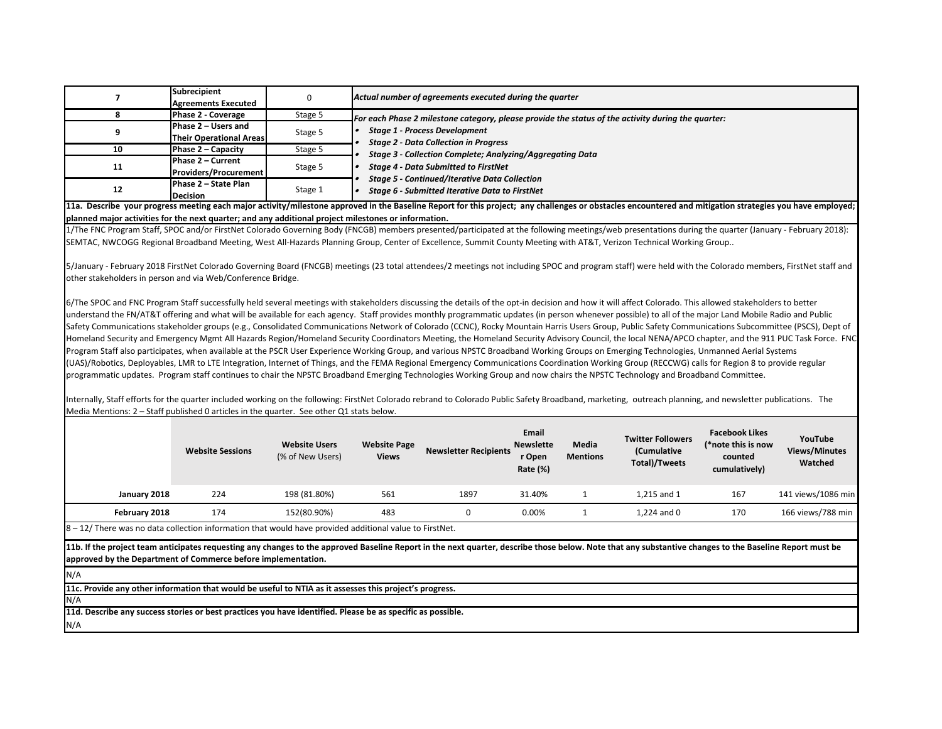| $\overline{7}$                                                                                                                                                                                                                                                                                                                                                                                                                                                                                                                                                                                                                                                                                                                                                                                                                                                                                                                                                                                                                                                                                                                                                                                                                                                                                        | <b>Subrecipient</b><br><b>Agreements Executed</b>                                                                                                            | 0                                        |                                                                                                                                            | Actual number of agreements executed during the quarter |                                                 |                          |                                                          |                                                                         |                                            |  |
|-------------------------------------------------------------------------------------------------------------------------------------------------------------------------------------------------------------------------------------------------------------------------------------------------------------------------------------------------------------------------------------------------------------------------------------------------------------------------------------------------------------------------------------------------------------------------------------------------------------------------------------------------------------------------------------------------------------------------------------------------------------------------------------------------------------------------------------------------------------------------------------------------------------------------------------------------------------------------------------------------------------------------------------------------------------------------------------------------------------------------------------------------------------------------------------------------------------------------------------------------------------------------------------------------------|--------------------------------------------------------------------------------------------------------------------------------------------------------------|------------------------------------------|--------------------------------------------------------------------------------------------------------------------------------------------|---------------------------------------------------------|-------------------------------------------------|--------------------------|----------------------------------------------------------|-------------------------------------------------------------------------|--------------------------------------------|--|
| 8                                                                                                                                                                                                                                                                                                                                                                                                                                                                                                                                                                                                                                                                                                                                                                                                                                                                                                                                                                                                                                                                                                                                                                                                                                                                                                     | Phase 2 - Coverage                                                                                                                                           | Stage 5                                  |                                                                                                                                            |                                                         |                                                 |                          |                                                          |                                                                         |                                            |  |
|                                                                                                                                                                                                                                                                                                                                                                                                                                                                                                                                                                                                                                                                                                                                                                                                                                                                                                                                                                                                                                                                                                                                                                                                                                                                                                       | Phase 2 - Users and                                                                                                                                          |                                          | For each Phase 2 milestone category, please provide the status of the activity during the quarter:<br><b>Stage 1 - Process Development</b> |                                                         |                                                 |                          |                                                          |                                                                         |                                            |  |
| 9                                                                                                                                                                                                                                                                                                                                                                                                                                                                                                                                                                                                                                                                                                                                                                                                                                                                                                                                                                                                                                                                                                                                                                                                                                                                                                     | <b>Their Operational Areas</b>                                                                                                                               | Stage 5                                  | <b>Stage 2 - Data Collection in Progress</b>                                                                                               |                                                         |                                                 |                          |                                                          |                                                                         |                                            |  |
| 10                                                                                                                                                                                                                                                                                                                                                                                                                                                                                                                                                                                                                                                                                                                                                                                                                                                                                                                                                                                                                                                                                                                                                                                                                                                                                                    | Phase 2 – Capacity                                                                                                                                           | Stage 5                                  | Stage 3 - Collection Complete; Analyzing/Aggregating Data<br><b>Stage 4 - Data Submitted to FirstNet</b>                                   |                                                         |                                                 |                          |                                                          |                                                                         |                                            |  |
| 11                                                                                                                                                                                                                                                                                                                                                                                                                                                                                                                                                                                                                                                                                                                                                                                                                                                                                                                                                                                                                                                                                                                                                                                                                                                                                                    | Phase 2 - Current<br><b>Providers/Procurement</b>                                                                                                            | Stage 5                                  |                                                                                                                                            |                                                         |                                                 |                          |                                                          |                                                                         |                                            |  |
| 12                                                                                                                                                                                                                                                                                                                                                                                                                                                                                                                                                                                                                                                                                                                                                                                                                                                                                                                                                                                                                                                                                                                                                                                                                                                                                                    | <b>Stage 5 - Continued/Iterative Data Collection</b><br>Phase 2 - State Plan<br>Stage 1<br>Stage 6 - Submitted Iterative Data to FirstNet<br><b>Decision</b> |                                          |                                                                                                                                            |                                                         |                                                 |                          |                                                          |                                                                         |                                            |  |
| 11a. Describe your progress meeting each major activity/milestone approved in the Baseline Report for this project; any challenges or obstacles encountered and mitigation strategies you have employed;                                                                                                                                                                                                                                                                                                                                                                                                                                                                                                                                                                                                                                                                                                                                                                                                                                                                                                                                                                                                                                                                                              |                                                                                                                                                              |                                          |                                                                                                                                            |                                                         |                                                 |                          |                                                          |                                                                         |                                            |  |
| planned major activities for the next quarter; and any additional project milestones or information.                                                                                                                                                                                                                                                                                                                                                                                                                                                                                                                                                                                                                                                                                                                                                                                                                                                                                                                                                                                                                                                                                                                                                                                                  |                                                                                                                                                              |                                          |                                                                                                                                            |                                                         |                                                 |                          |                                                          |                                                                         |                                            |  |
| 1/The FNC Program Staff, SPOC and/or FirstNet Colorado Governing Body (FNCGB) members presented/participated at the following meetings/web presentations during the quarter (January - February 2018):<br>SEMTAC, NWCOGG Regional Broadband Meeting, West All-Hazards Planning Group, Center of Excellence, Summit County Meeting with AT&T, Verizon Technical Working Group                                                                                                                                                                                                                                                                                                                                                                                                                                                                                                                                                                                                                                                                                                                                                                                                                                                                                                                          |                                                                                                                                                              |                                          |                                                                                                                                            |                                                         |                                                 |                          |                                                          |                                                                         |                                            |  |
|                                                                                                                                                                                                                                                                                                                                                                                                                                                                                                                                                                                                                                                                                                                                                                                                                                                                                                                                                                                                                                                                                                                                                                                                                                                                                                       |                                                                                                                                                              |                                          |                                                                                                                                            |                                                         |                                                 |                          |                                                          |                                                                         |                                            |  |
| 5/January - February 2018 FirstNet Colorado Governing Board (FNCGB) meetings (23 total attendees/2 meetings not including SPOC and program staff) were held with the Colorado members, FirstNet staff and                                                                                                                                                                                                                                                                                                                                                                                                                                                                                                                                                                                                                                                                                                                                                                                                                                                                                                                                                                                                                                                                                             |                                                                                                                                                              |                                          |                                                                                                                                            |                                                         |                                                 |                          |                                                          |                                                                         |                                            |  |
| other stakeholders in person and via Web/Conference Bridge.                                                                                                                                                                                                                                                                                                                                                                                                                                                                                                                                                                                                                                                                                                                                                                                                                                                                                                                                                                                                                                                                                                                                                                                                                                           |                                                                                                                                                              |                                          |                                                                                                                                            |                                                         |                                                 |                          |                                                          |                                                                         |                                            |  |
|                                                                                                                                                                                                                                                                                                                                                                                                                                                                                                                                                                                                                                                                                                                                                                                                                                                                                                                                                                                                                                                                                                                                                                                                                                                                                                       |                                                                                                                                                              |                                          |                                                                                                                                            |                                                         |                                                 |                          |                                                          |                                                                         |                                            |  |
| Safety Communications stakeholder groups (e.g., Consolidated Communications Network of Colorado (CCNC), Rocky Mountain Harris Users Group, Public Safety Communications Subcommittee (PSCS), Dept of<br>Homeland Security and Emergency Mgmt All Hazards Region/Homeland Security Coordinators Meeting, the Homeland Security Advisory Council, the local NENA/APCO chapter, and the 911 PUC Task Force. FNC<br>Program Staff also participates, when available at the PSCR User Experience Working Group, and various NPSTC Broadband Working Groups on Emerging Technologies, Unmanned Aerial Systems<br>(UAS)/Robotics, Deployables, LMR to LTE Integration, Internet of Things, and the FEMA Regional Emergency Communications Coordination Working Group (RECCWG) calls for Region 8 to provide regular<br>programmatic updates. Program staff continues to chair the NPSTC Broadband Emerging Technologies Working Group and now chairs the NPSTC Technology and Broadband Committee.<br>Internally, Staff efforts for the quarter included working on the following: FirstNet Colorado rebrand to Colorado Public Safety Broadband, marketing, outreach planning, and newsletter publications. The<br>Media Mentions: 2 - Staff published 0 articles in the quarter. See other Q1 stats below. | <b>Website Sessions</b>                                                                                                                                      | <b>Website Users</b><br>(% of New Users) | <b>Website Page</b><br><b>Views</b>                                                                                                        | <b>Newsletter Recipients</b>                            | Email<br><b>Newslette</b><br>r Open<br>Rate (%) | Media<br><b>Mentions</b> | <b>Twitter Followers</b><br>(Cumulative<br>Total)/Tweets | <b>Facebook Likes</b><br>(*note this is now<br>counted<br>cumulatively) | YouTube<br><b>Views/Minutes</b><br>Watched |  |
| January 2018                                                                                                                                                                                                                                                                                                                                                                                                                                                                                                                                                                                                                                                                                                                                                                                                                                                                                                                                                                                                                                                                                                                                                                                                                                                                                          | 224                                                                                                                                                          | 198 (81.80%)                             | 561                                                                                                                                        | 1897                                                    | 31.40%                                          | 1                        | 1,215 and 1                                              | 167                                                                     | 141 views/1086 min                         |  |
|                                                                                                                                                                                                                                                                                                                                                                                                                                                                                                                                                                                                                                                                                                                                                                                                                                                                                                                                                                                                                                                                                                                                                                                                                                                                                                       | 174                                                                                                                                                          |                                          |                                                                                                                                            | 0                                                       |                                                 | $\mathbf{1}$             |                                                          | 170                                                                     |                                            |  |
| February 2018<br>$8 - 12$ / There was no data collection information that would have provided additional value to FirstNet.                                                                                                                                                                                                                                                                                                                                                                                                                                                                                                                                                                                                                                                                                                                                                                                                                                                                                                                                                                                                                                                                                                                                                                           |                                                                                                                                                              | 152(80.90%)                              | 483                                                                                                                                        |                                                         | 0.00%                                           |                          | 1,224 and 0                                              |                                                                         | 166 views/788 min                          |  |
| 11b. If the project team anticipates requesting any changes to the approved Baseline Report in the next quarter, describe those below. Note that any substantive changes to the Baseline Report must be<br>approved by the Department of Commerce before implementation.                                                                                                                                                                                                                                                                                                                                                                                                                                                                                                                                                                                                                                                                                                                                                                                                                                                                                                                                                                                                                              |                                                                                                                                                              |                                          |                                                                                                                                            |                                                         |                                                 |                          |                                                          |                                                                         |                                            |  |
| N/A                                                                                                                                                                                                                                                                                                                                                                                                                                                                                                                                                                                                                                                                                                                                                                                                                                                                                                                                                                                                                                                                                                                                                                                                                                                                                                   |                                                                                                                                                              |                                          |                                                                                                                                            |                                                         |                                                 |                          |                                                          |                                                                         |                                            |  |
| 11c. Provide any other information that would be useful to NTIA as it assesses this project's progress.<br>N/A                                                                                                                                                                                                                                                                                                                                                                                                                                                                                                                                                                                                                                                                                                                                                                                                                                                                                                                                                                                                                                                                                                                                                                                        |                                                                                                                                                              |                                          |                                                                                                                                            |                                                         |                                                 |                          |                                                          |                                                                         |                                            |  |
| 11d. Describe any success stories or best practices you have identified. Please be as specific as possible.                                                                                                                                                                                                                                                                                                                                                                                                                                                                                                                                                                                                                                                                                                                                                                                                                                                                                                                                                                                                                                                                                                                                                                                           |                                                                                                                                                              |                                          |                                                                                                                                            |                                                         |                                                 |                          |                                                          |                                                                         |                                            |  |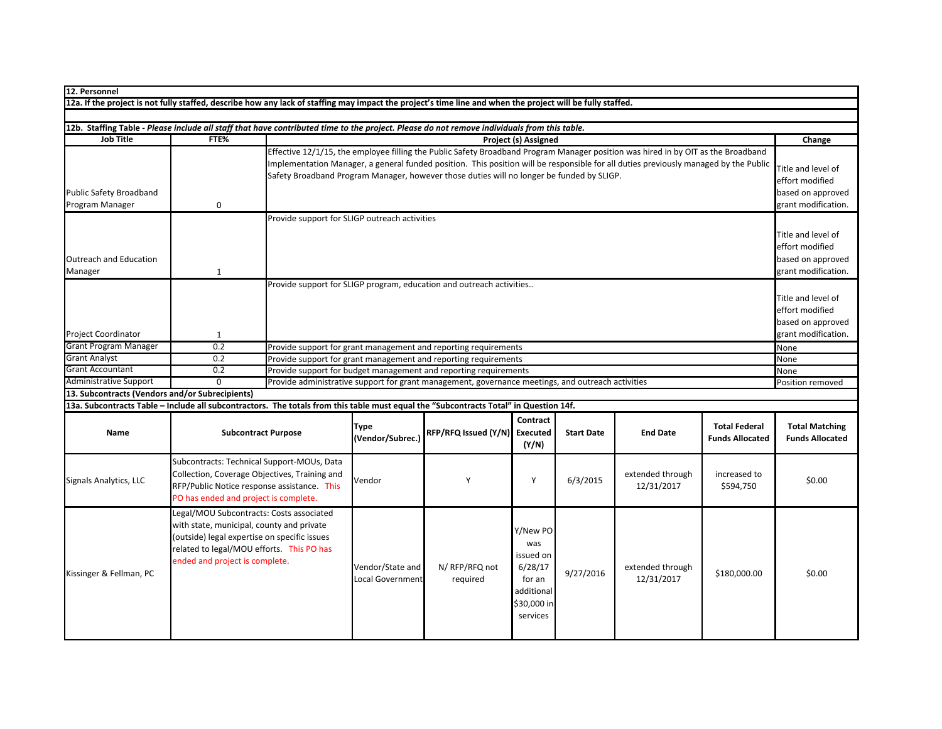| 12. Personnel                                                                                                                                              |                                               |                                                                                                                                                                          |                                                                                                                                    |                                                                                                   |                              |                   |                                |                                                |                                                 |  |
|------------------------------------------------------------------------------------------------------------------------------------------------------------|-----------------------------------------------|--------------------------------------------------------------------------------------------------------------------------------------------------------------------------|------------------------------------------------------------------------------------------------------------------------------------|---------------------------------------------------------------------------------------------------|------------------------------|-------------------|--------------------------------|------------------------------------------------|-------------------------------------------------|--|
| 12a. If the project is not fully staffed, describe how any lack of staffing may impact the project's time line and when the project will be fully staffed. |                                               |                                                                                                                                                                          |                                                                                                                                    |                                                                                                   |                              |                   |                                |                                                |                                                 |  |
|                                                                                                                                                            |                                               |                                                                                                                                                                          |                                                                                                                                    |                                                                                                   |                              |                   |                                |                                                |                                                 |  |
| 12b. Staffing Table - Please include all staff that have contributed time to the project. Please do not remove individuals from this table.                |                                               |                                                                                                                                                                          |                                                                                                                                    |                                                                                                   |                              |                   |                                |                                                |                                                 |  |
| <b>Job Title</b>                                                                                                                                           | FTE%                                          |                                                                                                                                                                          | Project (s) Assigned                                                                                                               |                                                                                                   |                              |                   |                                |                                                | Change                                          |  |
|                                                                                                                                                            |                                               | Effective 12/1/15, the employee filling the Public Safety Broadband Program Manager position was hired in by OIT as the Broadband                                        |                                                                                                                                    |                                                                                                   |                              |                   |                                |                                                |                                                 |  |
|                                                                                                                                                            |                                               | Implementation Manager, a general funded position. This position will be responsible for all duties previously managed by the Public                                     |                                                                                                                                    |                                                                                                   |                              |                   |                                |                                                |                                                 |  |
|                                                                                                                                                            |                                               | Safety Broadband Program Manager, however those duties will no longer be funded by SLIGP.                                                                                |                                                                                                                                    |                                                                                                   |                              |                   |                                |                                                |                                                 |  |
| <b>Public Safety Broadband</b>                                                                                                                             |                                               |                                                                                                                                                                          |                                                                                                                                    |                                                                                                   |                              |                   |                                |                                                |                                                 |  |
| Program Manager                                                                                                                                            | 0                                             |                                                                                                                                                                          | based on approved<br>grant modification.                                                                                           |                                                                                                   |                              |                   |                                |                                                |                                                 |  |
|                                                                                                                                                            |                                               | Provide support for SLIGP outreach activities                                                                                                                            |                                                                                                                                    |                                                                                                   |                              |                   |                                |                                                |                                                 |  |
|                                                                                                                                                            |                                               |                                                                                                                                                                          |                                                                                                                                    |                                                                                                   |                              |                   |                                |                                                | Title and level of                              |  |
|                                                                                                                                                            |                                               |                                                                                                                                                                          |                                                                                                                                    |                                                                                                   |                              |                   |                                |                                                | effort modified                                 |  |
| <b>Outreach and Education</b>                                                                                                                              |                                               |                                                                                                                                                                          |                                                                                                                                    |                                                                                                   |                              |                   |                                |                                                | based on approved                               |  |
| Manager                                                                                                                                                    | $\mathbf{1}$                                  |                                                                                                                                                                          |                                                                                                                                    |                                                                                                   |                              |                   |                                |                                                | grant modification.                             |  |
|                                                                                                                                                            |                                               |                                                                                                                                                                          |                                                                                                                                    | Provide support for SLIGP program, education and outreach activities                              |                              |                   |                                |                                                |                                                 |  |
|                                                                                                                                                            |                                               |                                                                                                                                                                          |                                                                                                                                    |                                                                                                   |                              |                   |                                |                                                | Title and level of                              |  |
|                                                                                                                                                            |                                               |                                                                                                                                                                          |                                                                                                                                    |                                                                                                   |                              |                   |                                |                                                | effort modified                                 |  |
|                                                                                                                                                            |                                               |                                                                                                                                                                          |                                                                                                                                    |                                                                                                   |                              |                   |                                |                                                | based on approved                               |  |
| <b>Project Coordinator</b>                                                                                                                                 | $\mathbf{1}$                                  |                                                                                                                                                                          |                                                                                                                                    |                                                                                                   |                              |                   |                                |                                                |                                                 |  |
| <b>Grant Program Manager</b>                                                                                                                               | 0.2                                           |                                                                                                                                                                          |                                                                                                                                    |                                                                                                   |                              |                   |                                |                                                | grant modification.<br>None                     |  |
| <b>Grant Analyst</b>                                                                                                                                       | 0.2                                           |                                                                                                                                                                          | Provide support for grant management and reporting requirements<br>Provide support for grant management and reporting requirements |                                                                                                   |                              |                   |                                |                                                | None                                            |  |
| <b>Grant Accountant</b>                                                                                                                                    | 0.2                                           |                                                                                                                                                                          | Provide support for budget management and reporting requirements                                                                   |                                                                                                   |                              |                   |                                |                                                |                                                 |  |
| <b>Administrative Support</b>                                                                                                                              | $\overline{0}$                                |                                                                                                                                                                          |                                                                                                                                    | Provide administrative support for grant management, governance meetings, and outreach activities |                              |                   |                                |                                                | None<br>Position removed                        |  |
| 13. Subcontracts (Vendors and/or Subrecipients)                                                                                                            |                                               |                                                                                                                                                                          |                                                                                                                                    |                                                                                                   |                              |                   |                                |                                                |                                                 |  |
| 13a. Subcontracts Table - Include all subcontractors. The totals from this table must equal the "Subcontracts Total" in Question 14f.                      |                                               |                                                                                                                                                                          |                                                                                                                                    |                                                                                                   |                              |                   |                                |                                                |                                                 |  |
| Name                                                                                                                                                       | <b>Subcontract Purpose</b>                    |                                                                                                                                                                          | Type<br>(Vendor/Subrec.)                                                                                                           | RFP/RFQ Issued (Y/N)                                                                              | Contract<br>Executed         | <b>Start Date</b> | <b>End Date</b>                | <b>Total Federal</b><br><b>Funds Allocated</b> | <b>Total Matching</b><br><b>Funds Allocated</b> |  |
|                                                                                                                                                            |                                               |                                                                                                                                                                          |                                                                                                                                    |                                                                                                   | (Y/N)                        |                   |                                |                                                |                                                 |  |
|                                                                                                                                                            | Subcontracts: Technical Support-MOUs, Data    |                                                                                                                                                                          |                                                                                                                                    |                                                                                                   |                              |                   |                                |                                                |                                                 |  |
|                                                                                                                                                            | Collection, Coverage Objectives, Training and |                                                                                                                                                                          | Vendor                                                                                                                             | Y                                                                                                 | Y                            | 6/3/2015          | extended through<br>12/31/2017 | increased to<br>\$594,750                      | \$0.00                                          |  |
| Signals Analytics, LLC                                                                                                                                     | RFP/Public Notice response assistance. This   |                                                                                                                                                                          |                                                                                                                                    |                                                                                                   |                              |                   |                                |                                                |                                                 |  |
|                                                                                                                                                            | PO has ended and project is complete.         |                                                                                                                                                                          |                                                                                                                                    |                                                                                                   |                              |                   |                                |                                                |                                                 |  |
|                                                                                                                                                            | Legal/MOU Subcontracts: Costs associated      |                                                                                                                                                                          |                                                                                                                                    |                                                                                                   |                              |                   |                                |                                                |                                                 |  |
|                                                                                                                                                            |                                               | with state, municipal, county and private<br>(outside) legal expertise on specific issues<br>related to legal/MOU efforts. This PO has<br>ended and project is complete. |                                                                                                                                    |                                                                                                   |                              |                   |                                |                                                |                                                 |  |
|                                                                                                                                                            |                                               |                                                                                                                                                                          |                                                                                                                                    |                                                                                                   | Y/New PO<br>was<br>issued on |                   |                                |                                                |                                                 |  |
|                                                                                                                                                            |                                               |                                                                                                                                                                          |                                                                                                                                    |                                                                                                   |                              |                   |                                |                                                |                                                 |  |
|                                                                                                                                                            |                                               |                                                                                                                                                                          |                                                                                                                                    |                                                                                                   |                              |                   |                                |                                                |                                                 |  |
| Kissinger & Fellman, PC                                                                                                                                    |                                               |                                                                                                                                                                          | Vendor/State and                                                                                                                   | N/RFP/RFQ not                                                                                     | 6/28/17                      | 9/27/2016         | extended through               | \$180,000.00                                   | \$0.00                                          |  |
|                                                                                                                                                            |                                               |                                                                                                                                                                          | <b>Local Government</b>                                                                                                            | required                                                                                          | for an                       |                   | 12/31/2017                     |                                                |                                                 |  |
|                                                                                                                                                            |                                               |                                                                                                                                                                          |                                                                                                                                    |                                                                                                   | additional<br>\$30,000 in    |                   |                                |                                                |                                                 |  |
|                                                                                                                                                            |                                               |                                                                                                                                                                          |                                                                                                                                    |                                                                                                   | services                     |                   |                                |                                                |                                                 |  |
|                                                                                                                                                            |                                               |                                                                                                                                                                          |                                                                                                                                    |                                                                                                   |                              |                   |                                |                                                |                                                 |  |
|                                                                                                                                                            |                                               |                                                                                                                                                                          |                                                                                                                                    |                                                                                                   |                              |                   |                                |                                                |                                                 |  |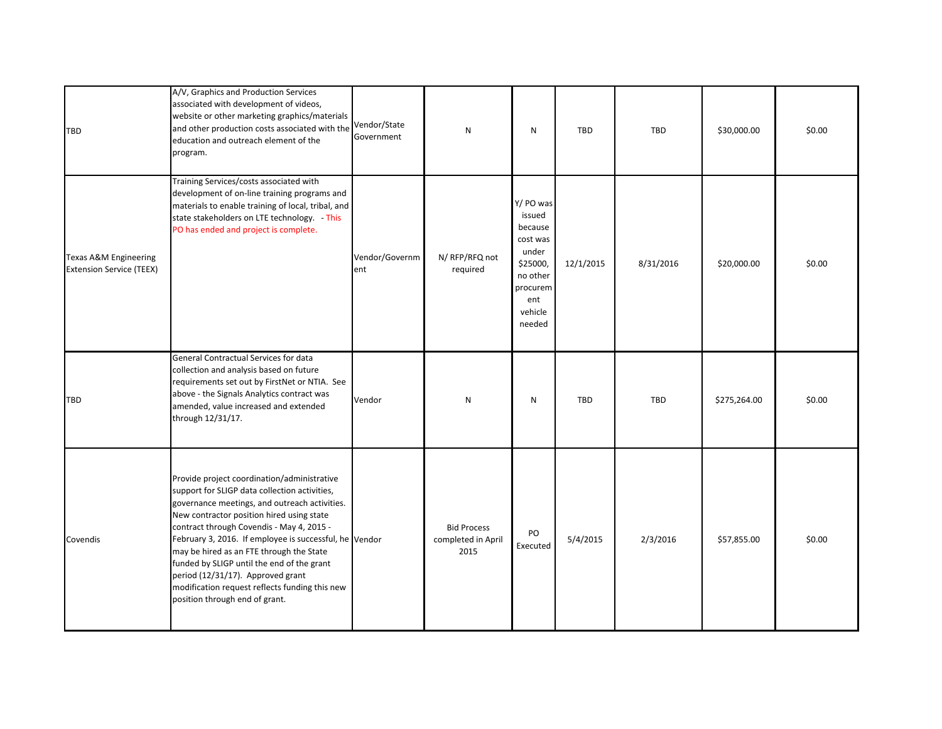| <b>TBD</b>                                                          | A/V, Graphics and Production Services<br>associated with development of videos,<br>website or other marketing graphics/materials<br>and other production costs associated with the<br>education and outreach element of the<br>program.                                                                                                                                                                                                                                                                              | Vendor/State<br>Government | $\mathsf{N}$                                     | N                                                                                                                   | TBD        | TBD       | \$30,000.00  | \$0.00 |
|---------------------------------------------------------------------|----------------------------------------------------------------------------------------------------------------------------------------------------------------------------------------------------------------------------------------------------------------------------------------------------------------------------------------------------------------------------------------------------------------------------------------------------------------------------------------------------------------------|----------------------------|--------------------------------------------------|---------------------------------------------------------------------------------------------------------------------|------------|-----------|--------------|--------|
| <b>Texas A&amp;M Engineering</b><br><b>Extension Service (TEEX)</b> | Training Services/costs associated with<br>development of on-line training programs and<br>materials to enable training of local, tribal, and<br>state stakeholders on LTE technology. - This<br>PO has ended and project is complete.                                                                                                                                                                                                                                                                               | Vendor/Governm<br>ent      | N/ RFP/RFQ not<br>required                       | Y/ PO was<br>issued<br>because<br>cost was<br>under<br>\$25000,<br>no other<br>procurem<br>ent<br>vehicle<br>needed | 12/1/2015  | 8/31/2016 | \$20,000.00  | \$0.00 |
| TBD                                                                 | General Contractual Services for data<br>collection and analysis based on future<br>requirements set out by FirstNet or NTIA. See<br>above - the Signals Analytics contract was<br>amended, value increased and extended<br>through 12/31/17.                                                                                                                                                                                                                                                                        | Vendor                     | N                                                | N                                                                                                                   | <b>TBD</b> | TBD       | \$275,264.00 | \$0.00 |
| Covendis                                                            | Provide project coordination/administrative<br>support for SLIGP data collection activities,<br>governance meetings, and outreach activities.<br>New contractor position hired using state<br>contract through Covendis - May 4, 2015 -<br>February 3, 2016. If employee is successful, he Vendor<br>may be hired as an FTE through the State<br>funded by SLIGP until the end of the grant<br>period (12/31/17). Approved grant<br>modification request reflects funding this new<br>position through end of grant. |                            | <b>Bid Process</b><br>completed in April<br>2015 | PO<br>Executed                                                                                                      | 5/4/2015   | 2/3/2016  | \$57,855.00  | \$0.00 |